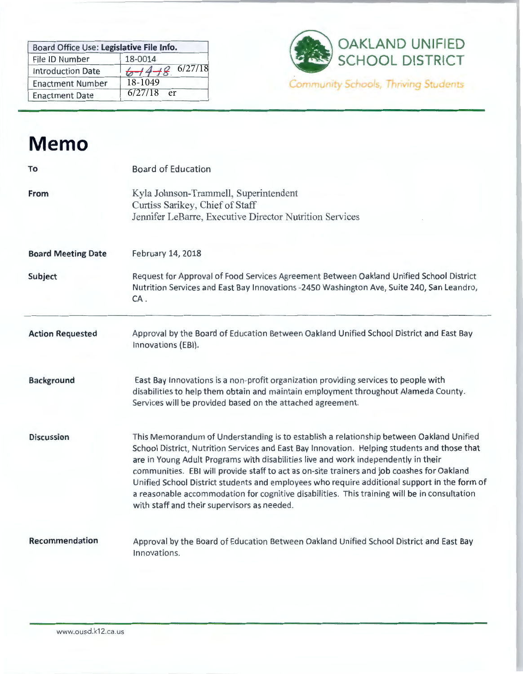| Board Office Use: Legislative File Info. |                        |  |  |
|------------------------------------------|------------------------|--|--|
| File ID Number                           | 18-0014                |  |  |
| <b>Introduction Date</b>                 | 6/27/18<br>$6 + 4 + 8$ |  |  |
| <b>Enactment Number</b>                  | 18-1049                |  |  |
| <b>Enactment Date</b>                    | $6/27/18$ er           |  |  |



# **Memo**

| To                        | <b>Board of Education</b>                                                                                                                                                                                                                                                                                                                                                                                                                                                                                                                                                                                                  |
|---------------------------|----------------------------------------------------------------------------------------------------------------------------------------------------------------------------------------------------------------------------------------------------------------------------------------------------------------------------------------------------------------------------------------------------------------------------------------------------------------------------------------------------------------------------------------------------------------------------------------------------------------------------|
| From                      | Kyla Johnson-Trammell, Superintendent<br>Curtiss Sarikey, Chief of Staff<br>Jennifer LeBarre, Executive Director Nutrition Services                                                                                                                                                                                                                                                                                                                                                                                                                                                                                        |
| <b>Board Meeting Date</b> | February 14, 2018                                                                                                                                                                                                                                                                                                                                                                                                                                                                                                                                                                                                          |
| Subject                   | Request for Approval of Food Services Agreement Between Oakland Unified School District<br>Nutrition Services and East Bay Innovations -2450 Washington Ave, Suite 240, San Leandro,<br>CA.                                                                                                                                                                                                                                                                                                                                                                                                                                |
| <b>Action Requested</b>   | Approval by the Board of Education Between Oakland Unified School District and East Bay<br>Innovations (EBI).                                                                                                                                                                                                                                                                                                                                                                                                                                                                                                              |
| <b>Background</b>         | East Bay Innovations is a non-profit organization providing services to people with<br>disabilities to help them obtain and maintain employment throughout Alameda County.<br>Services will be provided based on the attached agreement.                                                                                                                                                                                                                                                                                                                                                                                   |
| <b>Discussion</b>         | This Memorandum of Understanding is to establish a relationship between Oakland Unified<br>School District, Nutrition Services and East Bay Innovation. Helping students and those that<br>are in Young Adult Programs with disabilities live and work independently in their<br>communities. EBI will provide staff to act as on-site trainers and job coashes for Oakland<br>Unified School District students and employees who require additional support in the form of<br>a reasonable accommodation for cognitive disabilities. This training will be in consultation<br>with staff and their supervisors as needed. |
| Recommendation            | Approval by the Board of Education Between Oakland Unified School District and East Bay<br>Innovations.                                                                                                                                                                                                                                                                                                                                                                                                                                                                                                                    |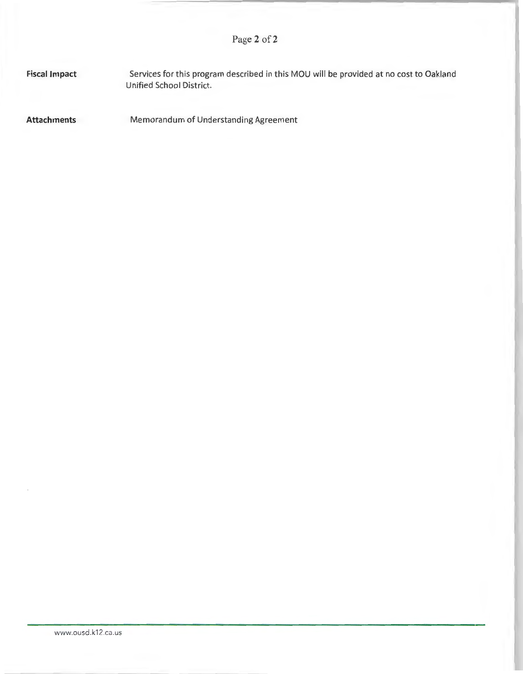**Fiscal Impact**  Services for this program described in this MOU will be provided at no cost to Oakland Unified School District.

**Attachments**  Memorandum of Understanding Agreement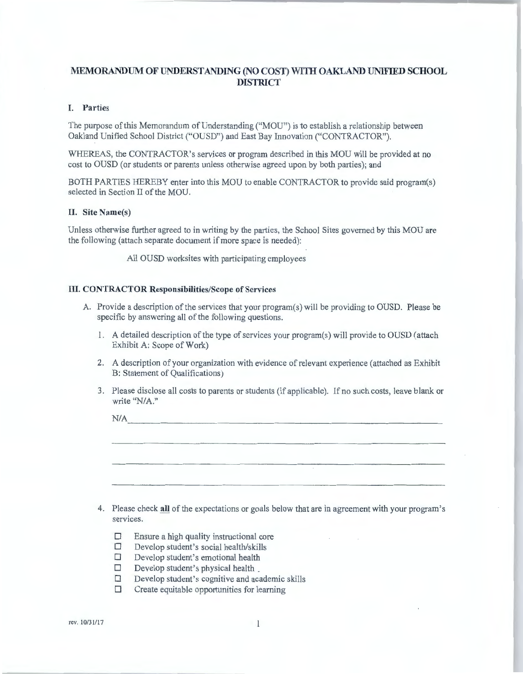# **MEMORANDUM OF UNDERSTANDING (NO COST) WITH OAKLAND UNIFIED SCHOOL DISTRICT**

## **I. Parties**

The purpose of this Memorandum of Understanding ("MOU") is to establish a relationship between Oakland Unified School District ("OUSD") and East Bay Innovation ("CONTRACTOR").

WHEREAS, the CONTRACTOR's services or program described in this MOU will be provided at no cost to OUSD (or students or parents unless otherwise agreed upon by both parties); and

BOTH PARTIES HEREBY enter into this MOU to enable CONTRACTOR to provide said program(s) selected in Section II of the MOU.

## **II. Site Name(s)**

Unless otherwise further agreed to in writing by the parties, the School Sites governed by this MOU are the following (attach separate document if more space is needed):

All OUSD worksites with participating employees

## **III. CONTRACTOR Responsibilities/Scope of Services**

- A. Provide a description of the services that your program(s) will be providing to OUSD. Please be specific by answering all of the following questions.
	- 1. A detailed description of the type of services your program(s) will provide to OUSD ( attach Exhibit A: Scope of Work)
	- 2. A description of your organization with evidence of relevant experience (attached as Exhibit B: Statement of Qualifications)
	- 3. Please disclose all costs to parents or students (if applicable). lf no such costs, leave blank or write "N/A."

|    | N/A                                                                                                        |                                                                                    |  |  |  |
|----|------------------------------------------------------------------------------------------------------------|------------------------------------------------------------------------------------|--|--|--|
|    |                                                                                                            |                                                                                    |  |  |  |
|    |                                                                                                            |                                                                                    |  |  |  |
| 4. | Please check all of the expectations or goals below that are in agreement with your program's<br>services. |                                                                                    |  |  |  |
|    | □                                                                                                          | Ensure a high quality instructional core<br>Develop student's social health/skills |  |  |  |

- 
- $\Box$  Develop student's emotional health
- $\Box$  Develop student's physical health
- $\Box$  Develop student's cognitive and academic skills
- $\Box$  Create equitable opportunities for learning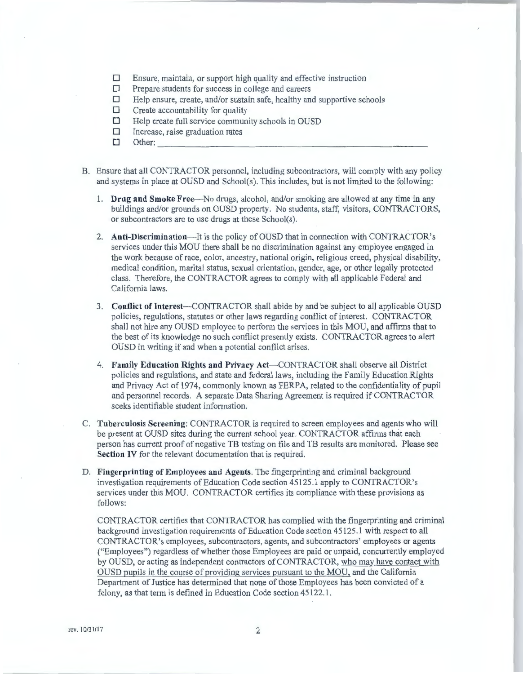- $\Box$  Ensure, maintain, or support high quality and effective instruction
- $\Box$  Prepare students for success in college and careers  $\Box$  Help ensure, create, and/or sustain safe, healthy an
- $\Box$  Help ensure, create, and/or sustain safe, healthy and supportive schools  $\Box$  Create accountability for quality
- $\Box$  Create accountability for quality<br> $\Box$  Help create full service communi
- **D Help create full service community schools in OUSD**<br> **D** Increase, raise graduation rates
- Increase, raise graduation rates Other: -------------- ------------
- 
- B. Ensure that all CONTRACTOR personnel, including subcontractors, will comply with any policy and systems in place at OUSD and School(s). This includes, but is not limited to the following:
	- 1. **Drug and Smoke** Free--No drngs, alcohol, and/or smoking are allowed at any time in any buildings and/or grounds on OUSD property. No students, staff, visitors, CONTRACTORS, or subcontractors are to use drugs at these School(s).
	- 2. **Anti-Discrimination-It** is the policy of OUSD that in connection with CONTRACTOR's services under this MOU there shall be no discrimination against any employee engaged in the work because of race, color, ancestry, national origin, religious creed, physical disability, medical condition, marital status, sexual orientation, gender, age, or other legally protected class. Therefore, the CONTRACTOR agrees to comply with all applicable Federal and California laws.
	- 3. **Conflict of** Interest-CONTRACTOR shall abide by and be subject to all applicable OUSD policies, regulations, statutes or other laws regarding conflict of interest. CONTRACTOR shall not hire any OUSD employee to perform the services in this MOU, and affirms that to the best of its knowledge no such conflict presently exists. CONTRACTOR agrees to alert OUSD in writing if and when a potential conflict arises.
	- 4. **Family Education Rights and Privacy** Act-CONTRACTOR shall observe all District policies and regulations, and state and federal laws, including the Family Education Rights and Privacy Act of 1974, commonly known as FERPA, related to the confidentiality of pupil and personnel records. A separate Data Sharing Agreement is required if CONTRACTOR seeks identifiable student information.
- C. **Tuberculosis Screening:** CONTRACTOR is required to screen employees and agents who will be present at OUSD sites during the current school year. CONTRACTOR affirms that each person has current proof of negative TB testing on file and TB results are monitored. Please see **Section IV** for the relevant documentation that is required.
- D. **Fingerprinting of Employees and Agents.** The fingerprinting and criminal background investigation requirements of Education Code section 45125.1 apply to CONTRACTOR's services under this MOU. CONTRACTOR certifies its compliance with these provisions as follows:

CONTRACTOR certifies that CONTRACTOR bas complied with the fingerprinting and criminal background investigation requirements of Education Code section 45125. l with respect to all CONTRACTOR's employees, subcontractors, agents, and subcontractors' employees or agents ("Employees") regardless of whether those Employees are paid or unpaid, concurrently employed by OUSD, or acting as independent contractors of CONTRACTOR, who may have contact with OUSD pupils **in** the course of providing services pursuant to the MOU, and the California Department of Justice has determined that none of those Employees has been convicted of a felony, as that term is defined in Education Code section 45122.1.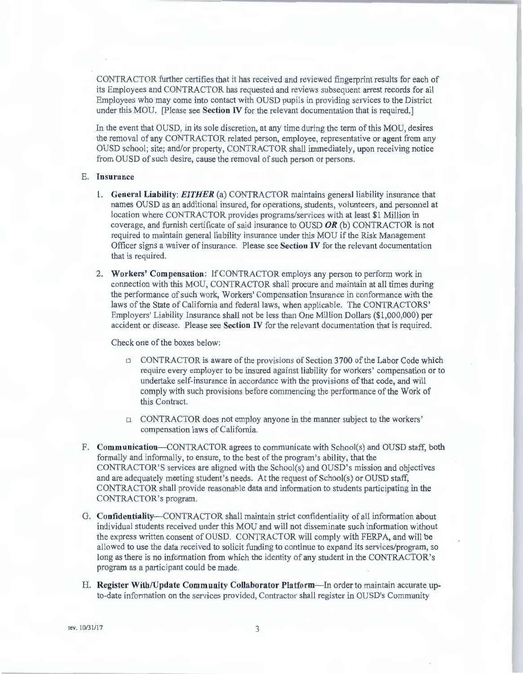CONTRACTOR further certifies that it has received and reviewed fingerprint results for each of its Employees and CONTRACTOR has requested and reviews subsequent arrest records for all Employees who may come into contact with OUSD pupils in providing services to the District under this MOU. [Please see **Section** IV for the relevant documentation that is required.]

In the event that OUSD, in its sole discretion, at any time during the term of this MOU, desires the removal of any CONTRACTOR related person, employee, representative or agent from any OUSD school; site; and/or property, CONTRACTOR shaU immediately, upon receiving notice from OUSD of such desire, cause the removal of such person or persons.

#### E. **Insurance**

- 1. **General Liability:** *EITHER* (a) CONTRACTOR maintains general liability insurance that names OUSD as an additional insured, for operations, students, volunteers, and personnel at location where CONTRACTOR provides programs/services with at least \$1 Million in coverage, and furnish certificate of said insurance to OUSD **OR** (b) CONTRACTOR is not required to maintain general liability insurance under this MOU if the Risk Management Officer signs a waiver of insurance. Please see **Section IV** for the relevant documentation that is required.
- 2. **Workers' Compensation:** lfCONTRACTOR employs any person to perform work in connection with this MOU, CONTRACTOR shall procure and maintain at all times during tbe performance of such work, Workers' Compensation Insurance in confonnance with the laws of the State of California and federal laws, when applicable. The CONTRACTORS' Employers' Liability insurance shall not be less than One Million Dollars (\$1,000,000) per accident or disease. Please see **Section** IV for the relevant documentation that is required.

Check one of the boxes below:

- $\Box$  CONTRACTOR is aware of the provisions of Section 3700 of the Labor Code which require every employer to be insured against liability for workers' compensation or to undertake self-insurance in accordance with the provisions of that code, and will comply with such provisions before commencing the performance of the Work of this Contract.
- •. CONTRACTOR does not employ anyone in the manner subject to the workers' compensation laws of California.
- F. **Communication-CONTRACTOR** agrees to communicate with School(s) and OUSD staff, both formally and informally, to ensure, to the best of the program's ability, that the CONTRACTOR' S services are aligned with the School(s) and OUSD's mission and objectives and are adequately meeting student's needs. At the request of School(s) or OUSD staff, CONTRACTOR shall provide reasonable data and information to students participating in the CONTRACTOR's program.
- G. **Confidentiality-CONTRACTOR** shall maintain strict confidentiality of all information about individual students received under this MOU and will not disseminate such information without the express written consent of OUSD. CONTRACTOR will comply with FERPA, and will be allowed to use the data received to solicit funding to continue to expand its services/program, so long as there is no information from which the identity of any student in the CONTRACTOR's program as a participant could be made.
- H. **Register With/Update Community Collaborator Platform-In** order to maintain accurate upto-date information on the services provided, Contractor shall register in OUSD's Community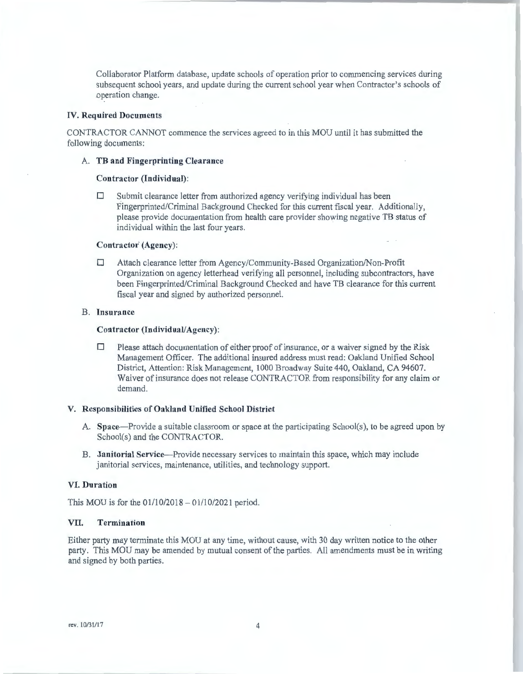Collaborator Platform database, update schools of operation prior to commencing services during subsequent school years, and update during the current school year when Contractor's schools of operation change.

#### **TV. Required Documents**

CONTRACTOR CANNOT commence the services agreed to in this MOU until it has submitted the following documents:

## A. **TB and Fingerprinting Clearance**

#### **Contractor (Individual):**

 $\Box$  Submit clearance letter from authorized agency verifying individual has been Fingerprinted/Criminal Background Checked for this current fiscal year. Additionally, please provide documentation from health care provider showing negative TB status of individual within the last four years.

## Contractor<sup>(Agency):</sup>

• Attach clearance letter from Agency/Community-Based Organization/Non-Profit Organization on agency letterhead verifying all personnel, including subcontractors, have been Fingerprinted/Criminal Background Checked and have TB clearance for this current fiscal year and signed by authorized personnel.

#### **B. Insurance**

#### **Contractor (Individual/Agency):**

 $\Box$  Please attach documentation of either proof of insurance, or a waiver signed by the Risk Management Officer. The additional insured address must read: Oakland Unified School District, Attention: Risk Management, 1000 Broadway Suite 440, Oakland, CA 94607. Waiver of insurance does not release CONTRACTOR from responsibility for any claim or demand.

#### **V. Responsibilities of Oakland Unified School District**

- A. Space---Provide a suitable classroom or space at the participating School(s), to be agreed upon by School(s) and the CONTRACTOR.
- B. **Janitorial Service--Provide** necessary services to maintain this space, which may include janitorial services, maintenance, utilities, and technology support.

#### **VI. Duration**

This MOU is for the  $01/10/2018 - 01/10/2021$  period.

## **VII. Termination**

Either party may terminate this MOU at any time, without cause, with 30 day written notice to the other party. This MOU may be amended by mutual consent of the parties. All amendments must be in writing and signed by both parties.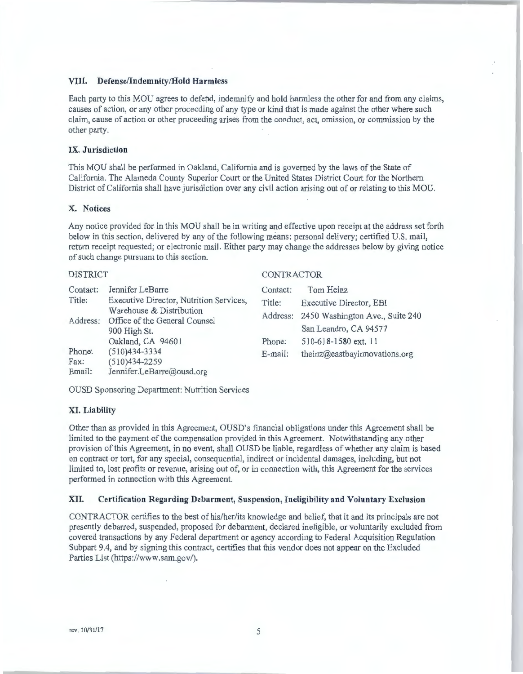## **VIII. Defense/Indemnity/Hold Harmless**

Each party to this MOU agrees to defend, indemnify and hold harmless the other for and from any claims, causes of action, or any other proceeding of any type or kind that is made against the other where such claim, cause of action or other proceeding arises from the conduct, act, omission, or commission by the other party.

## **IX. Jurisdiction**

This MOU shall be performed in Oakland, California and is governed by the laws of the State of California. The Alameda County Superior Court or the United States District Court for the Northern District of California shall have jurisdiction over any civil action arising out of or relating to this MOU.

#### **X. Notices**

Any notice provided for in this MOU shall be in writing and effective upon receipt at the address set forth below in this section, delivered by any of the following means: personal delivery; certified U.S. mail, return receipt requested; or electronic mail. Either party may change the addresses below by giving notice of such change pursuant to this section.

CONTRACTOR

#### DISTRICT

| Contact:<br>Title:<br>Address:                                                                | Jennifer LeBarre<br>Executive Director, Nutrition Services,<br>Warehouse & Distribution<br>Office of the General Counsel<br>900 High St.<br>Oakland, CA 94601 | Contact:<br>Title:<br>Phone: | Tom Heinz<br>Executive Director, EBI<br>Address: 2450 Washington Ave., Suite 240<br>San Leandro, CA 94577<br>510-618-1580 ext. 11 |
|-----------------------------------------------------------------------------------------------|---------------------------------------------------------------------------------------------------------------------------------------------------------------|------------------------------|-----------------------------------------------------------------------------------------------------------------------------------|
| $(510)434-3334$<br>Phone:<br>$(510)434 - 2259$<br>Fax:<br>Email:<br>Jennifer.LeBarre@ousd.org |                                                                                                                                                               | E-mail:                      | theinz@eastbayinnovations.org                                                                                                     |

OUSD Sponsoring Department: Nutrition Services

## **XL Liability**

Other than as provided in this Agreement, OUSD's financial obligations under this Agreement shall be limited to the payment of the compensation provided in this Agreement. Notwithstanding any other provision of this Agreement, in no event, shall OUSD be liable, regardless of whether any claim is based on contract or tort, for any special, consequential, indirect or incidental damages, including, but not limited to, lost profits or revenue, arising out of, or in connection with, this Agreement for the services performed in connection with this Agreement.

## **XII. Certification Regarding Debarment, Suspension, Ineligibility and Voluntary Exclusion**

CONTRACTOR certifies to the best of his/her/its knowledge and belief, that it and its principals are not presently debarred, suspended, proposed for debarment, declared ineligible, or voluntarily excluded from covered transactions by any Federal department or agency according to Federal Acquisition Regulation Subpart 9.4, and by signing this contract, certifies that this vendor does not appear on the Excluded Parties List (https://www.sam.gov/).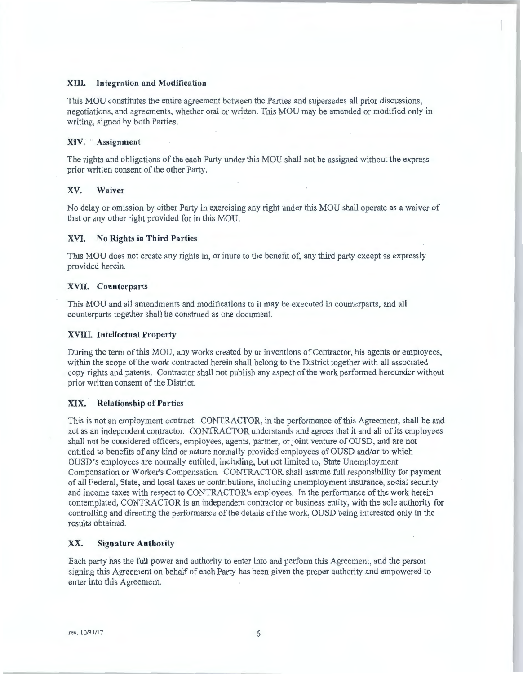#### **XIII. Integration and Modification**

This MOU constitutes the entire agreement between the Parties and supersedes all prior discussions, negotiations, and agreements, whether oral or written. This MOU may be amended or modified only in writing, signed by both Parties.

#### **XIV. ·· Assignment**

The rights and obligations of the each Party under this MOU shall not be assigned without the express prior written consent of the other Party.

## **XV. Waiver**

No delay or omission by either Party in exercising any right under this MOU shall operate as a waiver of that or any other right provided for in this MOU.

#### **XVI. No Rights in Third Parties**

This MOU does not create any rights in, or inure to the benefit of, any third party except as expressly provided herein.

#### **XVII. Counterparts**

This MOU and all amendments and modifications to it may be executed in counterparts, and all counterparts together shall be construed as one document.

#### **XVIII. Intellectual Property**

During the term of this MOU, any works created by or inventions of Contractor, his agents or employees, within the scope of the work contracted herein shall belong to the District together with all associated copy rights and patents. Contractor shall not publish any aspect of the work performed hereunder without prior written consent of the District.

## **XIX. · Relationship of Parties**

This is not an employment contract. CONTRACTOR, in the performance of this Agreement, shall be and act as an independent contractor. CONTRACTOR understands and agrees that it and all of its employees shall not be considered officers, employees, agents, partner, or joint venture of OUSD, and are not entitled to benefits of any kind or nature normally provided employees of OUSD and/or to which OUSD's employees are nmmally entitled, including, but not limited to, State Unemployment Compensation or Worker's Compensation. CONTRACTOR shall assume full responsibility for payment of all Federal, State, and local taxes or contributions, including unemployment insurance, social security and income taxes with respect to CONTRACTOR's employees. Jn the performance of the work herein contemplated, CONTRACTOR is an independent contractor or business entity, with the sole authority for controlling and directing the performance of the details of the work, OUSD being interested only in the results obtained.

#### **XX. Signature Authority**

Each party has the full power and authority to enter into and perform this Agreement, and the person signing this Agreement on behalf of each Party has been given the proper authority and empowered to enter into this Agreement.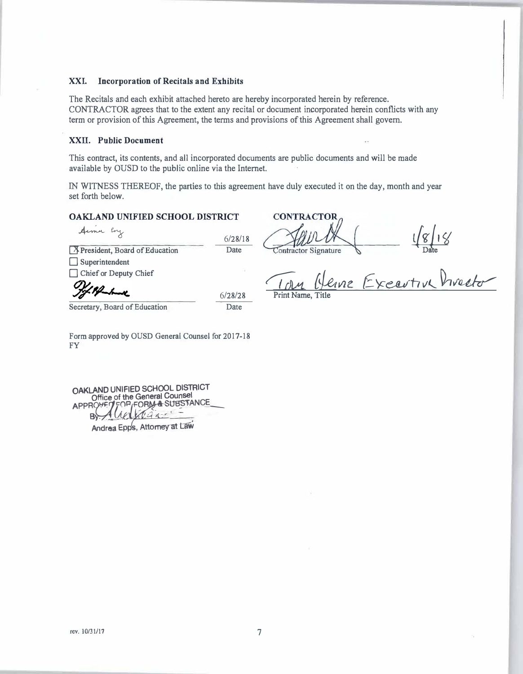## **XXI. Incorporation of Recitals and Exhibits**

The Recitals and each exhibit attached hereto are hereby incorporated herein by reference. CONTRACTOR agrees that to the extent any recital or document incorporated herein conflicts with any term or provision of this Agreement, the terms and provisions of this Agreement shall govern.

## **XXII. Public Document**

This contract, its contents, and all incorporated documents are public documents and will be made available by OUSD to the public online via the Internet.

IN WITNESS THEREOF, the parties to this agreement have duly executed it on the day, month and year set forth below.

## **OAKLAND UNIFIED SCHOOL DISTRICT**

Aime Eng 6/28/18 **X** President, Board of Education Date □ Superintendent Chief or Deputy Chief 6/28/28Secretary, Board of Education Date

**CONTRACTOR**  $\frac{1}{\sqrt{g}}\frac{1}{\sqrt{g}}$ Contractor Signature

 $\frac{10M}{2}$ *Henne Executive Precto* 

Print Name, Title

Form approved by OUSD General Counsel for 2017-18 FY

**OAKLAND UNIFIED SCHOOL DISTRICT** Office of the General Counsel<br>APPROVED FOR FORM & SUBSTA ROVET FOR FORM & SUBSTANCE **Andrea Epps, Attomey at Law**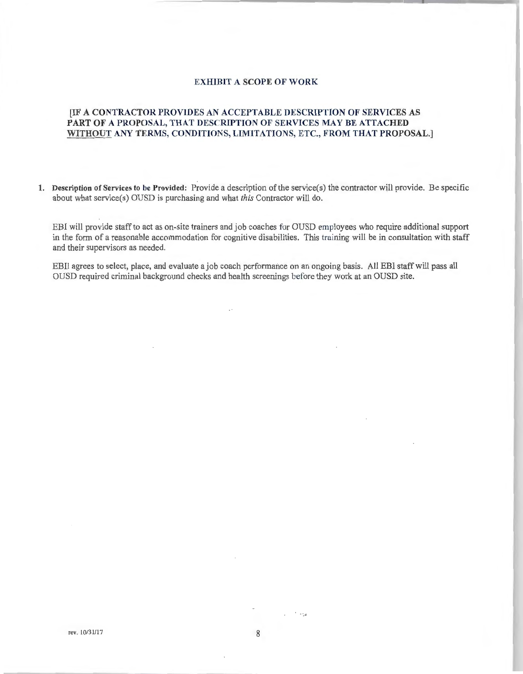## **EXHIBIT A SCOPE OF WORK**

# **[IF A CONTRACTOR PROVIDES AN ACCEPTABLE DESCRIPTION OF SERVICES AS PART OF A PROPOSAL, THAT DESCRIPTION OF SERVICES MAY BE ATTACHED WITHOUT ANY TERMS, CONDITIONS, LIMITATIONS, ETC., FROM THAT PROPOSAL.]**

**1. Description of Services to be Provided:** Provide a description of the service(s) the contractor will provide. Be specific about what scrvice(s) OUSD is purchasing and what *this* Contractor will do .

EBI will provide staff to act as on-site trainers and job coaches for OUSD employees who require additional support in the form of a reasonable accommodation for cognitive disabilities. This training will be in consultation with staff and their supervisors as needed.

EBII agrees to select, place, and evaluate a job coach performance on an ongoing basis. All EBI staff will pass all OUSD required criminal background checks and health screenings before they work at an OUSD site .

. **. -. .i**